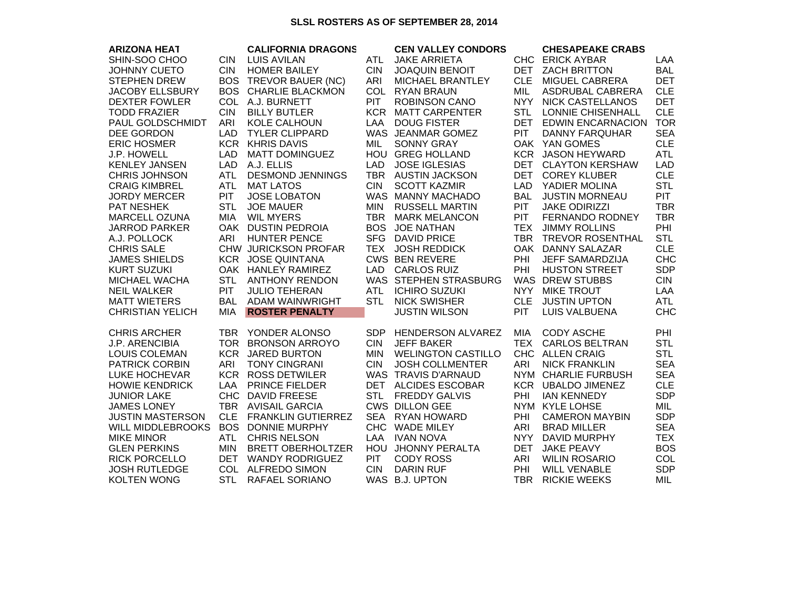## **SLSL ROSTERS AS OF SEPTEMBER 28, 2014**

| <b>ARIZONA HEAT</b>      |            | <b>CALIFORNIA DRAGONS</b> |            | <b>CEN VALLEY CONDORS</b> |            | <b>CHESAPEAKE CRABS</b>  |            |
|--------------------------|------------|---------------------------|------------|---------------------------|------------|--------------------------|------------|
| SHIN-SOO CHOO            | <b>CIN</b> | <b>LUIS AVILAN</b>        | <b>ATL</b> | <b>JAKE ARRIETA</b>       |            | CHC ERICK AYBAR          | LAA        |
| <b>JOHNNY CUETO</b>      | <b>CIN</b> | <b>HOMER BAILEY</b>       | <b>CIN</b> | <b>JOAQUIN BENOIT</b>     | <b>DET</b> | <b>ZACH BRITTON</b>      | <b>BAL</b> |
| <b>STEPHEN DREW</b>      | <b>BOS</b> | TREVOR BAUER (NC)         | ARI        | <b>MICHAEL BRANTLEY</b>   | <b>CLE</b> | <b>MIGUEL CABRERA</b>    | <b>DET</b> |
| <b>JACOBY ELLSBURY</b>   | <b>BOS</b> | <b>CHARLIE BLACKMON</b>   | <b>COL</b> | <b>RYAN BRAUN</b>         | MIL        | ASDRUBAL CABRERA         | <b>CLE</b> |
| <b>DEXTER FOWLER</b>     |            | COL A.J. BURNETT          | <b>PIT</b> | <b>ROBINSON CANO</b>      | <b>NYY</b> | <b>NICK CASTELLANOS</b>  | <b>DET</b> |
| <b>TODD FRAZIER</b>      | <b>CIN</b> | <b>BILLY BUTLER</b>       |            | KCR MATT CARPENTER        | <b>STL</b> | <b>LONNIE CHISENHALL</b> | <b>CLE</b> |
| PAUL GOLDSCHMIDT         | ARI        | KOLE CALHOUN              | LAA        | <b>DOUG FISTER</b>        |            | DET EDWIN ENCARNACION    | <b>TOR</b> |
| DEE GORDON               | <b>LAD</b> | <b>TYLER CLIPPARD</b>     |            | WAS JEANMAR GOMEZ         | <b>PIT</b> | <b>DANNY FARQUHAR</b>    | <b>SEA</b> |
| <b>ERIC HOSMER</b>       |            | <b>KCR KHRIS DAVIS</b>    | <b>MIL</b> | <b>SONNY GRAY</b>         |            | OAK YAN GOMES            | <b>CLE</b> |
| <b>J.P. HOWELL</b>       | <b>LAD</b> | <b>MATT DOMINGUEZ</b>     |            | HOU GREG HOLLAND          |            | <b>KCR JASON HEYWARD</b> | <b>ATL</b> |
| <b>KENLEY JANSEN</b>     | <b>LAD</b> | A.J. ELLIS                | <b>LAD</b> | <b>JOSE IGLESIAS</b>      |            | DET CLAYTON KERSHAW      | <b>LAD</b> |
| <b>CHRIS JOHNSON</b>     | <b>ATL</b> | <b>DESMOND JENNINGS</b>   |            | TBR AUSTIN JACKSON        | <b>DET</b> | <b>COREY KLUBER</b>      | <b>CLE</b> |
| <b>CRAIG KIMBREL</b>     | <b>ATL</b> | <b>MAT LATOS</b>          | <b>CIN</b> | <b>SCOTT KAZMIR</b>       | <b>LAD</b> | YADIER MOLINA            | <b>STL</b> |
| <b>JORDY MERCER</b>      | <b>PIT</b> | <b>JOSE LOBATON</b>       |            | WAS MANNY MACHADO         | <b>BAL</b> | <b>JUSTIN MORNEAU</b>    | <b>PIT</b> |
| <b>PAT NESHEK</b>        | <b>STL</b> | <b>JOE MAUER</b>          | MIN        | <b>RUSSELL MARTIN</b>     | <b>PIT</b> | <b>JAKE ODIRIZZI</b>     | <b>TBR</b> |
| <b>MARCELL OZUNA</b>     | <b>MIA</b> | <b>WIL MYERS</b>          | <b>TBR</b> | <b>MARK MELANCON</b>      | <b>PIT</b> | FERNANDO RODNEY          | <b>TBR</b> |
| <b>JARROD PARKER</b>     |            | OAK DUSTIN PEDROIA        | <b>BOS</b> | <b>JOE NATHAN</b>         | TEX        | <b>JIMMY ROLLINS</b>     | PHI        |
| A.J. POLLOCK             | ARI        | <b>HUNTER PENCE</b>       | <b>SFG</b> | <b>DAVID PRICE</b>        |            | TBR TREVOR ROSENTHAL     | <b>STL</b> |
| <b>CHRIS SALE</b>        |            | CHW JURICKSON PROFAR      |            | TEX JOSH REDDICK          |            | OAK DANNY SALAZAR        | <b>CLE</b> |
| <b>JAMES SHIELDS</b>     |            | <b>KCR JOSE QUINTANA</b>  |            | <b>CWS BEN REVERE</b>     | PHI        | JEFF SAMARDZIJA          | <b>CHC</b> |
| <b>KURT SUZUKI</b>       |            | OAK HANLEY RAMIREZ        |            | LAD CARLOS RUIZ           | PHI        | <b>HUSTON STREET</b>     | <b>SDP</b> |
| MICHAEL WACHA            | <b>STL</b> | <b>ANTHONY RENDON</b>     |            | WAS STEPHEN STRASBURG     |            | WAS DREW STUBBS          | <b>CIN</b> |
| <b>NEIL WALKER</b>       | <b>PIT</b> | <b>JULIO TEHERAN</b>      | <b>ATL</b> | <b>ICHIRO SUZUKI</b>      | <b>NYY</b> | <b>MIKE TROUT</b>        | LAA        |
| <b>MATT WIETERS</b>      | <b>BAL</b> | ADAM WAINWRIGHT           | <b>STL</b> | <b>NICK SWISHER</b>       | <b>CLE</b> | <b>JUSTIN UPTON</b>      | <b>ATL</b> |
| <b>CHRISTIAN YELICH</b>  | <b>MIA</b> | <b>ROSTER PENALTY</b>     |            | <b>JUSTIN WILSON</b>      | PIT        | <b>LUIS VALBUENA</b>     | <b>CHC</b> |
| <b>CHRIS ARCHER</b>      |            | TBR YONDER ALONSO         | <b>SDP</b> | <b>HENDERSON ALVAREZ</b>  | <b>MIA</b> | <b>CODY ASCHE</b>        | PHI        |
| <b>J.P. ARENCIBIA</b>    |            | TOR BRONSON ARROYO        | <b>CIN</b> | <b>JEFF BAKER</b>         | <b>TEX</b> | <b>CARLOS BELTRAN</b>    | <b>STL</b> |
| <b>LOUIS COLEMAN</b>     |            | <b>KCR JARED BURTON</b>   | <b>MIN</b> | <b>WELINGTON CASTILLO</b> |            | CHC ALLEN CRAIG          | <b>STL</b> |
| <b>PATRICK CORBIN</b>    | <b>ARI</b> | <b>TONY CINGRANI</b>      | <b>CIN</b> | <b>JOSH COLLMENTER</b>    | ARI        | <b>NICK FRANKLIN</b>     | <b>SEA</b> |
| LUKE HOCHEVAR            |            | <b>KCR ROSS DETWILER</b>  |            | WAS TRAVIS D'ARNAUD       |            | NYM CHARLIE FURBUSH      | <b>SEA</b> |
| <b>HOWIE KENDRICK</b>    | LAA        | <b>PRINCE FIELDER</b>     |            | DET ALCIDES ESCOBAR       |            | KCR UBALDO JIMENEZ       | <b>CLE</b> |
| <b>JUNIOR LAKE</b>       |            | CHC DAVID FREESE          | <b>STL</b> | <b>FREDDY GALVIS</b>      | PHI        | <b>IAN KENNEDY</b>       | <b>SDP</b> |
| <b>JAMES LONEY</b>       |            | TBR AVISAIL GARCIA        |            | <b>CWS DILLON GEE</b>     |            | NYM KYLE LOHSE           | MIL        |
| <b>JUSTIN MASTERSON</b>  | <b>CLE</b> | <b>FRANKLIN GUTIERREZ</b> | <b>SEA</b> | <b>RYAN HOWARD</b>        | <b>PHI</b> | <b>CAMERON MAYBIN</b>    | <b>SDP</b> |
| <b>WILL MIDDLEBROOKS</b> | BOS.       | <b>DONNIE MURPHY</b>      |            | CHC WADE MILEY            | ARI        | <b>BRAD MILLER</b>       | <b>SEA</b> |
| <b>MIKE MINOR</b>        | <b>ATL</b> | <b>CHRIS NELSON</b>       | <b>LAA</b> | <b>IVAN NOVA</b>          | <b>NYY</b> | DAVID MURPHY             | <b>TEX</b> |
| <b>GLEN PERKINS</b>      | <b>MIN</b> | <b>BRETT OBERHOLTZER</b>  |            | HOU JHONNY PERALTA        | <b>DET</b> | <b>JAKE PEAVY</b>        | <b>BOS</b> |
| <b>RICK PORCELLO</b>     | <b>DET</b> | <b>WANDY RODRIGUEZ</b>    | <b>PIT</b> | <b>CODY ROSS</b>          | ARI        | <b>WILIN ROSARIO</b>     | <b>COL</b> |
| <b>JOSH RUTLEDGE</b>     |            | COL ALFREDO SIMON         | <b>CIN</b> | <b>DARIN RUF</b>          | PHI        | <b>WILL VENABLE</b>      | <b>SDP</b> |
| <b>KOLTEN WONG</b>       | <b>STL</b> | RAFAEL SORIANO            |            | WAS B.J. UPTON            | TBR        | <b>RICKIE WEEKS</b>      | MIL        |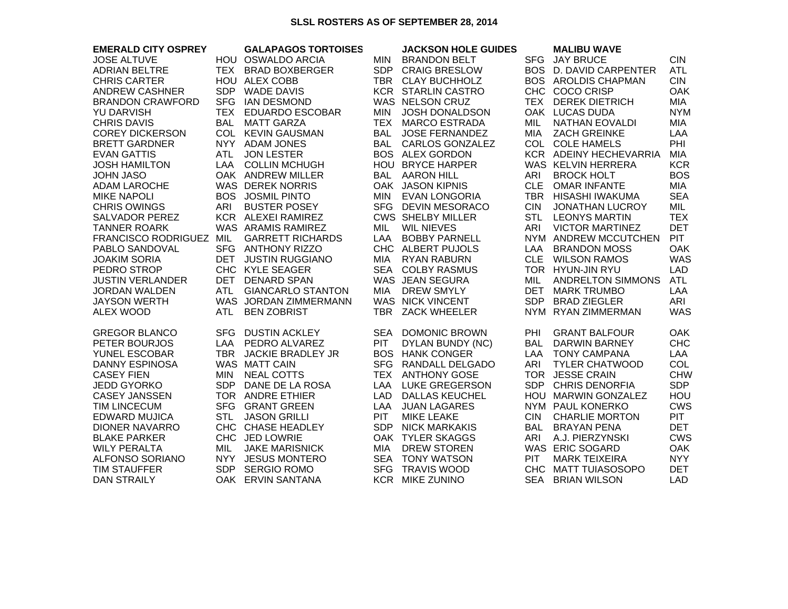## **SLSL ROSTERS AS OF SEPTEMBER 28, 2014**

| <b>EMERALD CITY OSPREY</b> |            | <b>GALAPAGOS TORTOISES</b> |            | <b>JACKSON HOLE GUIDES</b> |            | <b>MALIBU WAVE</b>       |            |
|----------------------------|------------|----------------------------|------------|----------------------------|------------|--------------------------|------------|
| <b>JOSE ALTUVE</b>         |            | HOU OSWALDO ARCIA          | MIN        | <b>BRANDON BELT</b>        |            | SFG JAY BRUCE            | <b>CIN</b> |
| <b>ADRIAN BELTRE</b>       |            | TEX BRAD BOXBERGER         | <b>SDP</b> | <b>CRAIG BRESLOW</b>       |            | BOS D. DAVID CARPENTER   | ATL        |
| <b>CHRIS CARTER</b>        |            | HOU ALEX COBB              |            | TBR CLAY BUCHHOLZ          |            | BOS AROLDIS CHAPMAN      | <b>CIN</b> |
| <b>ANDREW CASHNER</b>      |            | SDP WADE DAVIS             |            | <b>KCR STARLIN CASTRO</b>  |            | CHC COCO CRISP           | <b>OAK</b> |
| <b>BRANDON CRAWFORD</b>    |            | SFG IAN DESMOND            |            | WAS NELSON CRUZ            |            | TEX DEREK DIETRICH       | MIA        |
| <b>YU DARVISH</b>          |            | TEX EDUARDO ESCOBAR        | <b>MIN</b> | <b>JOSH DONALDSON</b>      |            | OAK LUCAS DUDA           | <b>NYM</b> |
| <b>CHRIS DAVIS</b>         | BAL        | <b>MATT GARZA</b>          |            | TEX MARCO ESTRADA          | MIL        | NATHAN EOVALDI           | MIA        |
| <b>COREY DICKERSON</b>     |            | COL KEVIN GAUSMAN          | <b>BAL</b> | <b>JOSE FERNANDEZ</b>      | <b>MIA</b> | <b>ZACH GREINKE</b>      | LAA        |
| <b>BRETT GARDNER</b>       |            | NYY ADAM JONES             |            | BAL CARLOS GONZALEZ        |            | COL COLE HAMELS          | PHI        |
| <b>EVAN GATTIS</b>         | <b>ATL</b> | <b>JON LESTER</b>          |            | <b>BOS ALEX GORDON</b>     |            | KCR ADEINY HECHEVARRIA   | MIA        |
| <b>JOSH HAMILTON</b>       |            | LAA COLLIN MCHUGH          |            | HOU BRYCE HARPER           |            | WAS KELVIN HERRERA       | <b>KCR</b> |
| <b>JOHN JASO</b>           |            | OAK ANDREW MILLER          |            | <b>BAL AARON HILL</b>      | ARI        | <b>BROCK HOLT</b>        | <b>BOS</b> |
| <b>ADAM LAROCHE</b>        |            | <b>WAS DEREK NORRIS</b>    |            | OAK JASON KIPNIS           |            | CLE OMAR INFANTE         | MIA        |
| <b>MIKE NAPOLI</b>         |            | <b>BOS JOSMIL PINTO</b>    |            | MIN EVAN LONGORIA          |            | TBR HISASHI IWAKUMA      | <b>SEA</b> |
| <b>CHRIS OWINGS</b>        | ARI        | <b>BUSTER POSEY</b>        |            | SFG DEVIN MESORACO         | <b>CIN</b> | <b>JONATHAN LUCROY</b>   | MIL        |
| <b>SALVADOR PEREZ</b>      |            | KCR ALEXEI RAMIREZ         |            | <b>CWS SHELBY MILLER</b>   | <b>STL</b> | <b>LEONYS MARTIN</b>     | <b>TEX</b> |
| <b>TANNER ROARK</b>        |            | WAS ARAMIS RAMIREZ         | <b>MIL</b> | <b>WIL NIEVES</b>          | ARI        | <b>VICTOR MARTINEZ</b>   | <b>DET</b> |
| FRANCISCO RODRIGUEZ MIL    |            | <b>GARRETT RICHARDS</b>    |            | LAA BOBBY PARNELL          |            | NYM ANDREW MCCUTCHEN     | <b>PIT</b> |
| PABLO SANDOVAL             |            | SFG ANTHONY RIZZO          |            | CHC ALBERT PUJOLS          |            | LAA BRANDON MOSS         | <b>OAK</b> |
| <b>JOAKIM SORIA</b>        |            | DET JUSTIN RUGGIANO        |            | MIA RYAN RABURN            |            | CLE WILSON RAMOS         | <b>WAS</b> |
| PEDRO STROP                |            | CHC KYLE SEAGER            |            | SEA COLBY RASMUS           |            | TOR HYUN-JIN RYU         | <b>LAD</b> |
| <b>JUSTIN VERLANDER</b>    |            | DET DENARD SPAN            |            | WAS JEAN SEGURA            | MIL        | <b>ANDRELTON SIMMONS</b> | <b>ATL</b> |
| <b>JORDAN WALDEN</b>       |            | ATL GIANCARLO STANTON      |            | MIA DREW SMYLY             |            | DET MARK TRUMBO          | LAA        |
| <b>JAYSON WERTH</b>        |            | WAS JORDAN ZIMMERMANN      |            | WAS NICK VINCENT           |            | SDP BRAD ZIEGLER         | ARI        |
| <b>ALEX WOOD</b>           | ATL        | <b>BEN ZOBRIST</b>         |            | TBR ZACK WHEELER           |            | NYM RYAN ZIMMERMAN       | <b>WAS</b> |
| <b>GREGOR BLANCO</b>       |            | SFG DUSTIN ACKLEY          |            | SEA DOMONIC BROWN          | PHI        | <b>GRANT BALFOUR</b>     | <b>OAK</b> |
| PETER BOURJOS              |            | LAA PEDRO ALVAREZ          | <b>PIT</b> | DYLAN BUNDY (NC)           | BAL        | DARWIN BARNEY            | <b>CHC</b> |
| YUNEL ESCOBAR              |            | TBR JACKIE BRADLEY JR      |            | <b>BOS HANK CONGER</b>     | LAA        | <b>TONY CAMPANA</b>      | LAA        |
| <b>DANNY ESPINOSA</b>      |            | WAS MATT CAIN              |            | SFG RANDALL DELGADO        | ARI        | <b>TYLER CHATWOOD</b>    | COL        |
| <b>CASEY FIEN</b>          | <b>MIN</b> | NEAL COTTS                 |            | TEX ANTHONY GOSE           |            | TOR JESSE CRAIN          | <b>CHW</b> |
| <b>JEDD GYORKO</b>         |            | SDP DANE DE LA ROSA        |            | LAA LUKE GREGERSON         |            | SDP CHRIS DENORFIA       | <b>SDP</b> |
| <b>CASEY JANSSEN</b>       |            | TOR ANDRE ETHIER           |            | LAD DALLAS KEUCHEL         |            | HOU MARWIN GONZALEZ      | HOU        |
| <b>TIM LINCECUM</b>        |            | SFG GRANT GREEN            | LAA        | <b>JUAN LAGARES</b>        |            | NYM PAUL KONERKO         | <b>CWS</b> |
| <b>EDWARD MUJICA</b>       | <b>STL</b> | <b>JASON GRILLI</b>        | <b>PIT</b> | <b>MIKE LEAKE</b>          | <b>CIN</b> | <b>CHARLIE MORTON</b>    | <b>PIT</b> |
| <b>DIONER NAVARRO</b>      |            | CHC CHASE HEADLEY          |            | SDP NICK MARKAKIS          | BAL        | <b>BRAYAN PENA</b>       | <b>DET</b> |
| <b>BLAKE PARKER</b>        |            | CHC JED LOWRIE             |            | OAK TYLER SKAGGS           | ARI        | A.J. PIERZYNSKI          | <b>CWS</b> |
| <b>WILY PERALTA</b>        | MIL        | <b>JAKE MARISNICK</b>      |            | MIA DREW STOREN            |            | WAS ERIC SOGARD          | <b>OAK</b> |
| ALFONSO SORIANO            |            | NYY JESUS MONTERO          |            | SEA TONY WATSON            | <b>PIT</b> | <b>MARK TEIXEIRA</b>     | <b>NYY</b> |
| <b>TIM STAUFFER</b>        |            | SDP SERGIO ROMO            |            | SFG TRAVIS WOOD            |            | CHC MATT TUIASOSOPO      | <b>DET</b> |
| <b>DAN STRAILY</b>         |            | OAK ERVIN SANTANA          |            | <b>KCR MIKE ZUNINO</b>     |            | SEA BRIAN WILSON         | <b>LAD</b> |